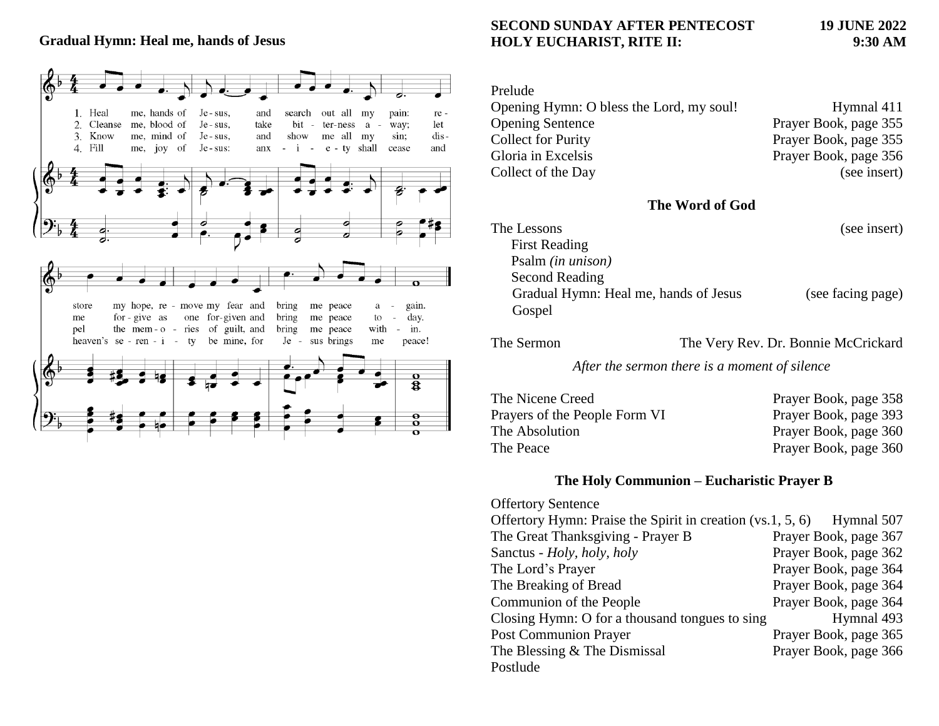### **Gradual Hymn: Heal me, hands of Jesus**



## **SECOND SUNDAY AFTER PENTECOST 19 JUNE 2022 HOLY EUCHARIST, RITE II: 9:30 AM**

# Prelude Opening Hymn: O bless the Lord, my soul! Hymnal 411 Opening Sentence Prayer Book, page 355 Collect for Purity Prayer Book, page 355 Gloria in Excelsis Prayer Book, page 356 Collect of the Day (see insert)

#### **The Word of God**

| The Lessons                           | (see insert)      |
|---------------------------------------|-------------------|
| <b>First Reading</b>                  |                   |
| Psalm (in unison)                     |                   |
| Second Reading                        |                   |
| Gradual Hymn: Heal me, hands of Jesus | (see facing page) |
| Gospel                                |                   |

The Sermon The Very Rev. Dr. Bonnie McCrickard

*After the sermon there is a moment of silence*

| The Nicene Creed              | Prayer Book, page 358 |
|-------------------------------|-----------------------|
| Prayers of the People Form VI | Prayer Book, page 393 |
| The Absolution                | Prayer Book, page 360 |
| The Peace                     | Prayer Book, page 360 |

#### **The Holy Communion – Eucharistic Prayer B**

| <b>Offertory Sentence</b>                                             |                       |
|-----------------------------------------------------------------------|-----------------------|
| Offertory Hymn: Praise the Spirit in creation (vs.1, 5, 6) Hymnal 507 |                       |
| The Great Thanksgiving - Prayer B                                     | Prayer Book, page 367 |
| Sanctus - Holy, holy, holy                                            | Prayer Book, page 362 |
| The Lord's Prayer                                                     | Prayer Book, page 364 |
| The Breaking of Bread                                                 | Prayer Book, page 364 |
| Communion of the People                                               | Prayer Book, page 364 |
| Closing Hymn: O for a thousand tongues to sing                        | Hymnal 493            |
| <b>Post Communion Prayer</b>                                          | Prayer Book, page 365 |
| The Blessing & The Dismissal                                          | Prayer Book, page 366 |
| Postlude                                                              |                       |